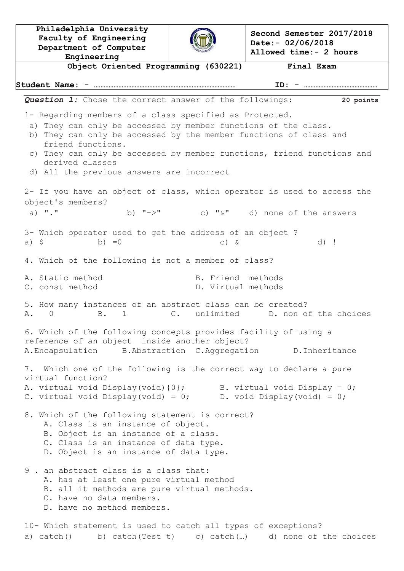**Philadelphia University Faculty of Engineering Department of Computer Engineering**



**Second Semester 2017/2018 Date:- 02/06/2018 Allowed time:- 2 hours**

**Object Oriented Programming (630221) Final Exam Student Name: - …………………………………………………………………………… ID: - ………………………………………** *Question 1:* Chose the correct answer of the followings: **20 points** 1- Regarding members of a class specified as Protected. a) They can only be accessed by member functions of the class. b) They can only be accessed by the member functions of class and friend functions. c) They can only be accessed by member functions, friend functions and derived classes d) All the previous answers are incorrect 2- If you have an object of class, which operator is used to access the object's members? a) "." b)  $"->"$  c) " $\&"$  d) none of the answers 3- Which operator used to get the address of an object ? a)  $\zeta$  b) =0 c) & d) ! 4. Which of the following is not a member of class? A. Static method B. Friend methods C. const method  $D.$  Virtual methods 5. How many instances of an abstract class can be created? A. 0 B. 1 C. unlimited D. non of the choices 6. Which of the following concepts provides facility of using a reference of an object inside another object? A.Encapsulation B.Abstraction C.Aggregation D.Inheritance 7. Which one of the following is the correct way to declare a pure virtual function? A. virtual void Display(void) ${0}$ ; B. virtual void Display = 0; C. virtual void Display(void) = 0; D. void Display(void) = 0; 8. Which of the following statement is correct? A. Class is an instance of object. B. Object is an instance of a class. C. Class is an instance of data type. D. Object is an instance of data type. 9 . an abstract class is a class that: A. has at least one pure virtual method B. all it methods are pure virtual methods. C. have no data members. D. have no method members. 10- Which statement is used to catch all types of exceptions? a) catch() b) catch(Test t) c) catch(…) d) none of the choices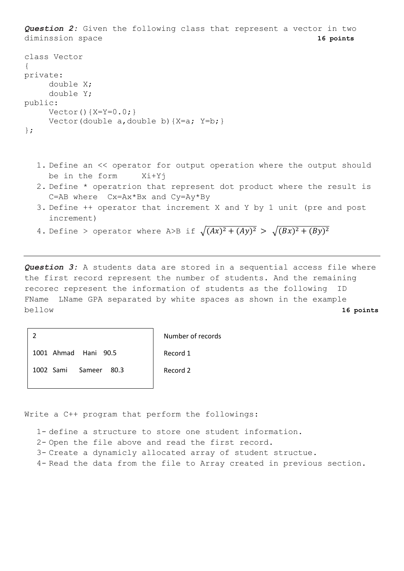*Question 2:* Given the following class that represent a vector in two diminssion space **16 points** class Vector { private: double X; double Y; public:  $Vector() {X=Y=0.0;}$ 

```
Vector(double a, double b) \{X=a; Y=b; \}
```

```
};
```
- 1. Define an << operator for output operation where the output should be in the form Xi+Yj
- 2. Define \* operatrion that represent dot product where the result is C=AB where Cx=Ax\*Bx and Cy=Ay\*By
- 3. Define ++ operator that increment X and Y by 1 unit (pre and post increment)
- 4. Define > operator where A>B if  $\sqrt{(Ax)^2 + (Ay)^2} > \sqrt{(Bx)^2 + (By)^2}$

*Question 3:* A students data are stored in a sequential access file where the first record represent the number of students. And the remaining recorec represent the information of students as the following FName LName GPA separated by white spaces as shown in the example bellow **16 points**

2

Number of records

1001 Ahmad Hani 90.5

1002 Sami Sameer 80.3

Record 2

Record 1

Write a C++ program that perform the followings:

1- define a structure to store one student information.

- 2- Open the file above and read the first record.
- 3- Create a dynamicly allocated array of student structue.
- 4- Read the data from the file to Array created in previous section.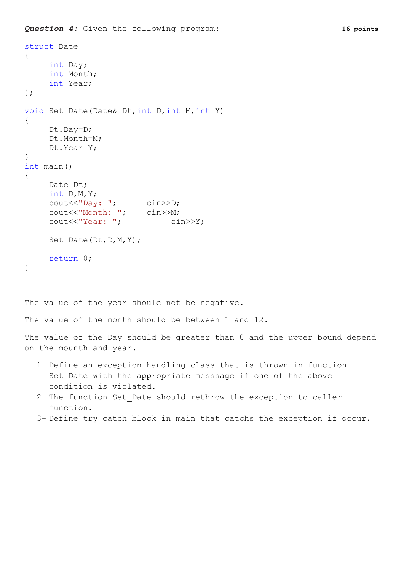```
Question 4: Given the following program: 16 points
```

```
struct Date
{
    int Day;
    int Month;
    int Year;
};
void Set Date(Date& Dt, int D, int M, int Y)
{
    Dt.Day=D;
    Dt.Month=M;
    Dt.Year=Y;
}
int main()
{
    Date Dt;
    int D,M,Y;
    cout<<"Day: "; cin>>D;
    cout<<"Month: "; cin>>M;
     cout<<"Year: "; cin>>Y;
    Set Date(Dt,D,M,Y);
    return 0;
}
The value of the year shoule not be negative.
```
The value of the month should be between 1 and 12.

The value of the Day should be greater than 0 and the upper bound depend on the mounth and year.

- 1- Define an exception handling class that is thrown in function Set Date with the appropriate messsage if one of the above condition is violated.
- 2- The function Set\_Date should rethrow the exception to caller function.
- 3- Define try catch block in main that catchs the exception if occur.